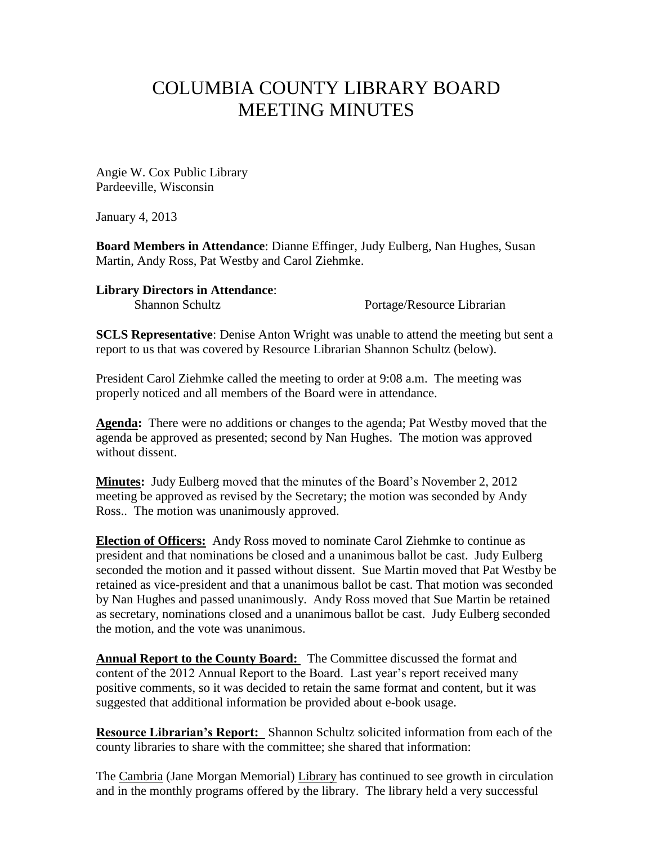## COLUMBIA COUNTY LIBRARY BOARD MEETING MINUTES

Angie W. Cox Public Library Pardeeville, Wisconsin

January 4, 2013

**Board Members in Attendance**: Dianne Effinger, Judy Eulberg, Nan Hughes, Susan Martin, Andy Ross, Pat Westby and Carol Ziehmke.

**Library Directors in Attendance**:

Shannon Schultz Portage/Resource Librarian

**SCLS Representative**: Denise Anton Wright was unable to attend the meeting but sent a report to us that was covered by Resource Librarian Shannon Schultz (below).

President Carol Ziehmke called the meeting to order at 9:08 a.m. The meeting was properly noticed and all members of the Board were in attendance.

**Agenda:** There were no additions or changes to the agenda; Pat Westby moved that the agenda be approved as presented; second by Nan Hughes. The motion was approved without dissent.

**Minutes:** Judy Eulberg moved that the minutes of the Board's November 2, 2012 meeting be approved as revised by the Secretary; the motion was seconded by Andy Ross.. The motion was unanimously approved.

**Election of Officers:** Andy Ross moved to nominate Carol Ziehmke to continue as president and that nominations be closed and a unanimous ballot be cast. Judy Eulberg seconded the motion and it passed without dissent. Sue Martin moved that Pat Westby be retained as vice-president and that a unanimous ballot be cast. That motion was seconded by Nan Hughes and passed unanimously. Andy Ross moved that Sue Martin be retained as secretary, nominations closed and a unanimous ballot be cast. Judy Eulberg seconded the motion, and the vote was unanimous.

**Annual Report to the County Board:** The Committee discussed the format and content of the 2012 Annual Report to the Board. Last year's report received many positive comments, so it was decided to retain the same format and content, but it was suggested that additional information be provided about e-book usage.

**Resource Librarian's Report:** Shannon Schultz solicited information from each of the county libraries to share with the committee; she shared that information:

The Cambria (Jane Morgan Memorial) Library has continued to see growth in circulation and in the monthly programs offered by the library. The library held a very successful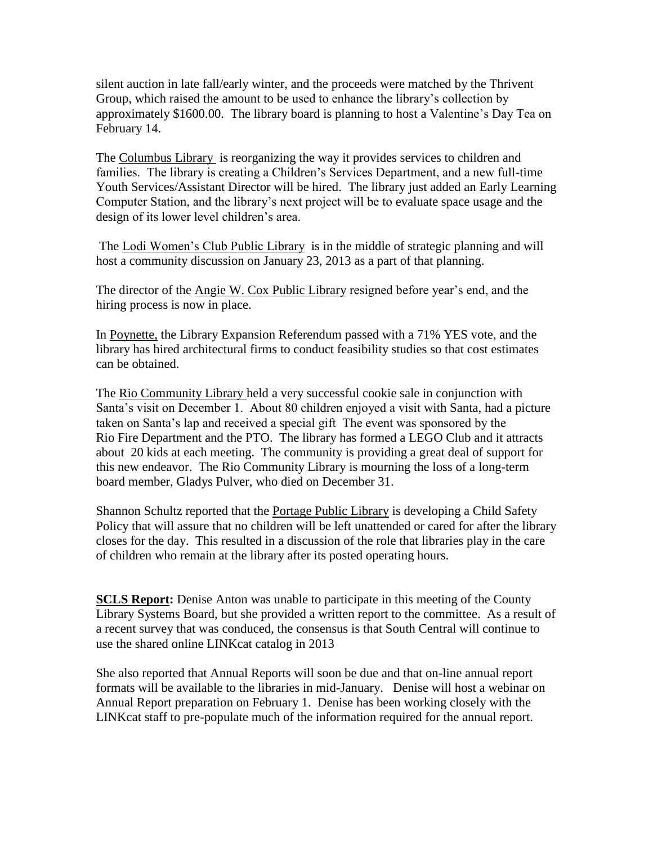silent auction in late fall/early winter, and the proceeds were matched by the Thrivent Group, which raised the amount to be used to enhance the library's collection by approximately \$1600.00. The library board is planning to host a Valentine's Day Tea on February 14.

The Columbus Library is reorganizing the way it provides services to children and families. The library is creating a Children's Services Department, and a new full-time Youth Services/Assistant Director will be hired. The library just added an Early Learning Computer Station, and the library's next project will be to evaluate space usage and the design of its lower level children's area.

The Lodi Women's Club Public Library is in the middle of strategic planning and will host a community discussion on January 23, 2013 as a part of that planning.

The director of the Angie W. Cox Public Library resigned before year's end, and the hiring process is now in place.

In Poynette, the Library Expansion Referendum passed with a 71% YES vote, and the library has hired architectural firms to conduct feasibility studies so that cost estimates can be obtained.

The Rio Community Library held a very successful cookie sale in conjunction with Santa's visit on December 1. About 80 children enjoyed a visit with Santa, had a picture taken on Santa's lap and received a special gift The event was sponsored by the Rio Fire Department and the PTO. The library has formed a LEGO Club and it attracts about 20 kids at each meeting. The community is providing a great deal of support for this new endeavor. The Rio Community Library is mourning the loss of a long-term board member, Gladys Pulver, who died on December 31.

Shannon Schultz reported that the Portage Public Library is developing a Child Safety Policy that will assure that no children will be left unattended or cared for after the library closes for the day. This resulted in a discussion of the role that libraries play in the care of children who remain at the library after its posted operating hours.

**SCLS Report:** Denise Anton was unable to participate in this meeting of the County Library Systems Board, but she provided a written report to the committee. As a result of a recent survey that was conduced, the consensus is that South Central will continue to use the shared online LINKcat catalog in 2013

She also reported that Annual Reports will soon be due and that on-line annual report formats will be available to the libraries in mid-January. Denise will host a webinar on Annual Report preparation on February 1. Denise has been working closely with the LINKcat staff to pre-populate much of the information required for the annual report.